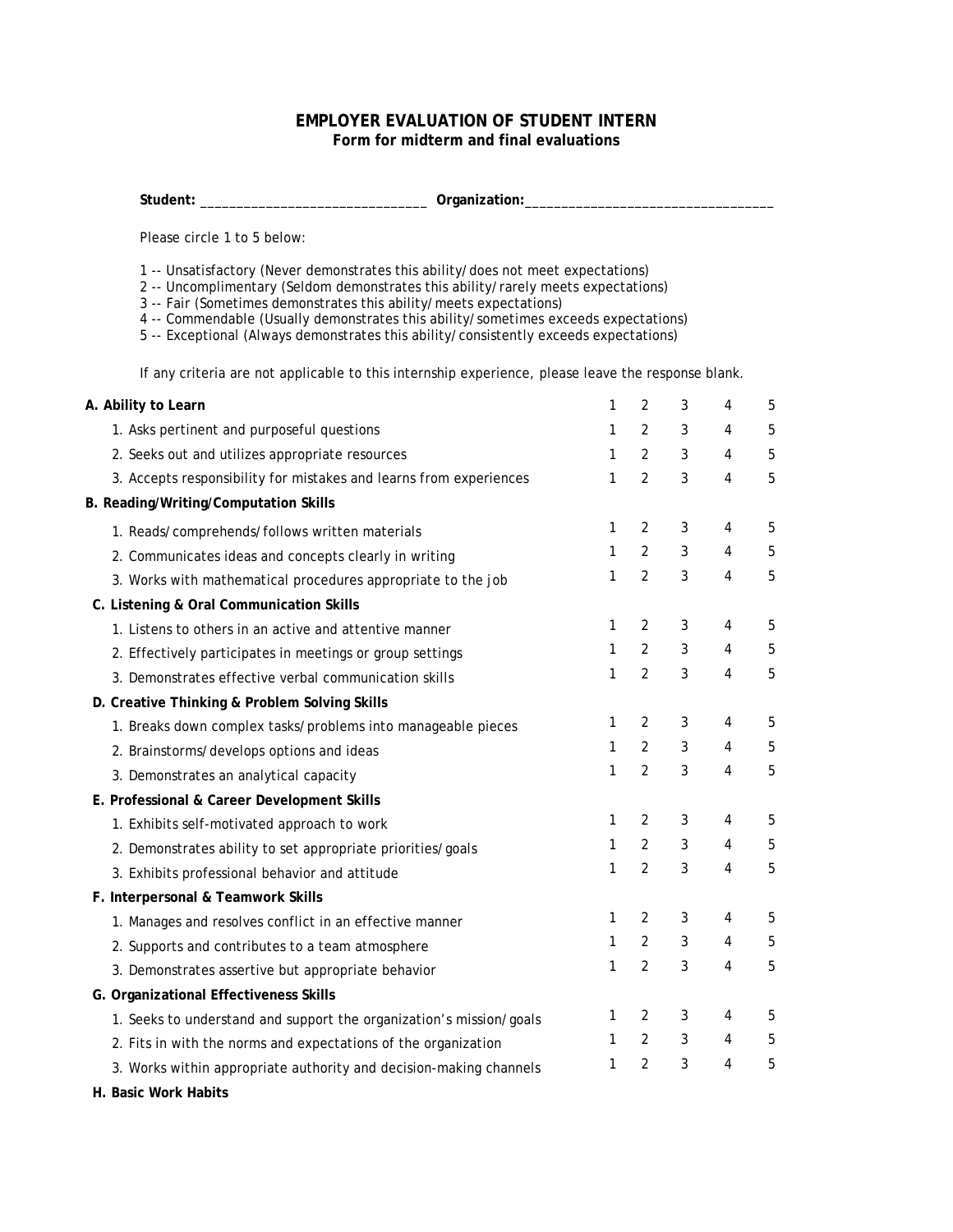## **EMPLOYER EVALUATION OF STUDENT INTERN Form for midterm and final evaluations**

**Student:** \_\_\_\_\_\_\_\_\_\_\_\_\_\_\_\_\_\_\_\_\_\_\_\_\_\_\_\_\_\_\_ **Organization:**\_\_\_\_\_\_\_\_\_\_\_\_\_\_\_\_\_\_\_\_\_\_\_\_\_\_\_\_\_\_\_\_\_\_

Please circle 1 to 5 below:

- 1 -- Unsatisfactory (Never demonstrates this ability/does not meet expectations)
- 2 -- Uncomplimentary (Seldom demonstrates this ability/rarely meets expectations)
- 3 -- Fair (Sometimes demonstrates this ability/meets expectations)

4 -- Commendable (Usually demonstrates this ability/sometimes exceeds expectations)

5 -- Exceptional (Always demonstrates this ability/consistently exceeds expectations)

If any criteria are not applicable to this internship experience, please leave the response blank.

| A. Ability to Learn                                                 | 1 | 2              | 3            | 4              | 5 |
|---------------------------------------------------------------------|---|----------------|--------------|----------------|---|
| 1. Asks pertinent and purposeful questions                          | 1 | $\overline{2}$ | 3            | 4              | 5 |
| 2. Seeks out and utilizes appropriate resources                     | 1 | 2              | 3            | $\overline{4}$ | 5 |
| 3. Accepts responsibility for mistakes and learns from experiences  | 1 | $\overline{2}$ | 3            | $\overline{4}$ | 5 |
| B. Reading/Writing/Computation Skills                               |   |                |              |                |   |
| 1. Reads/comprehends/follows written materials                      | 1 | $\overline{2}$ | 3            | 4              | 5 |
| 2. Communicates ideas and concepts clearly in writing               | 1 | $\overline{2}$ | 3            | $\overline{4}$ | 5 |
| 3. Works with mathematical procedures appropriate to the job        | 1 | $\overline{2}$ | 3            | $\overline{4}$ | 5 |
| C. Listening & Oral Communication Skills                            |   |                |              |                |   |
| 1. Listens to others in an active and attentive manner              | 1 | 2              | 3            | 4              | 5 |
| 2. Effectively participates in meetings or group settings           | 1 | $\overline{2}$ | 3            | $\overline{4}$ | 5 |
| 3. Demonstrates effective verbal communication skills               | 1 | 2              | 3            | $\overline{4}$ | 5 |
| D. Creative Thinking & Problem Solving Skills                       |   |                |              |                |   |
| 1. Breaks down complex tasks/problems into manageable pieces        | 1 | 2              | 3            | 4              | 5 |
| 2. Brainstorms/develops options and ideas                           | 1 | $\overline{2}$ | $\mathbf{3}$ | 4              | 5 |
| 3. Demonstrates an analytical capacity                              | 1 | $\overline{2}$ | 3            | $\overline{4}$ | 5 |
| E. Professional & Career Development Skills                         |   |                |              |                |   |
| 1. Exhibits self-motivated approach to work                         | 1 | $\overline{2}$ | 3            | 4              | 5 |
| 2. Demonstrates ability to set appropriate priorities/goals         | 1 | 2              | 3            | 4              | 5 |
| 3. Exhibits professional behavior and attitude                      | 1 | $\overline{2}$ | 3            | $\overline{4}$ | 5 |
| F. Interpersonal & Teamwork Skills                                  |   |                |              |                |   |
| 1. Manages and resolves conflict in an effective manner             | 1 | 2              | 3            | 4              | 5 |
| 2. Supports and contributes to a team atmosphere                    | 1 | $\overline{2}$ | 3            | 4              | 5 |
| 3. Demonstrates assertive but appropriate behavior                  | 1 | 2              | 3            | $\overline{4}$ | 5 |
| G. Organizational Effectiveness Skills                              |   |                |              |                |   |
| 1. Seeks to understand and support the organization's mission/goals | 1 | $\overline{2}$ | 3            | 4              | 5 |
| 2. Fits in with the norms and expectations of the organization      | 1 | $\overline{2}$ | 3            | 4              | 5 |
| 3. Works within appropriate authority and decision-making channels  | 1 | $\overline{2}$ | 3            | 4              | 5 |
|                                                                     |   |                |              |                |   |

**H. Basic Work Habits**